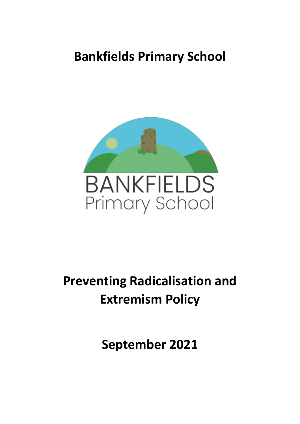# **Bankfields Primary School**



# **Preventing Radicalisation and Extremism Policy**

**September 2021**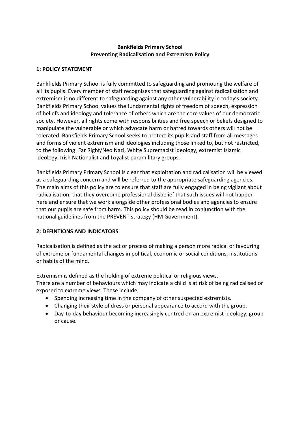# **Bankfields Primary School Preventing Radicalisation and Extremism Policy**

### **1: POLICY STATEMENT**

Bankfields Primary School is fully committed to safeguarding and promoting the welfare of all its pupils. Every member of staff recognises that safeguarding against radicalisation and extremism is no different to safeguarding against any other vulnerability in today's society. Bankfields Primary School values the fundamental rights of freedom of speech, expression of beliefs and ideology and tolerance of others which are the core values of our democratic society. However, all rights come with responsibilities and free speech or beliefs designed to manipulate the vulnerable or which advocate harm or hatred towards others will not be tolerated. Bankfields Primary School seeks to protect its pupils and staff from all messages and forms of violent extremism and ideologies including those linked to, but not restricted, to the following: Far Right/Neo Nazi, White Supremacist ideology, extremist Islamic ideology, Irish Nationalist and Loyalist paramilitary groups.

Bankfields Primary Primary School is clear that exploitation and radicalisation will be viewed as a safeguarding concern and will be referred to the appropriate safeguarding agencies. The main aims of this policy are to ensure that staff are fully engaged in being vigilant about radicalisation; that they overcome professional disbelief that such issues will not happen here and ensure that we work alongside other professional bodies and agencies to ensure that our pupils are safe from harm. This policy should be read in conjunction with the national guidelines from the PREVENT strategy (HM Government).

## **2: DEFINTIONS AND INDICATORS**

Radicalisation is defined as the act or process of making a person more radical or favouring of extreme or fundamental changes in political, economic or social conditions, institutions or habits of the mind.

Extremism is defined as the holding of extreme political or religious views.

There are a number of behaviours which may indicate a child is at risk of being radicalised or exposed to extreme views. These include;

- Spending increasing time in the company of other suspected extremists.
- Changing their style of dress or personal appearance to accord with the group.
- Day-to-day behaviour becoming increasingly centred on an extremist ideology, group or cause.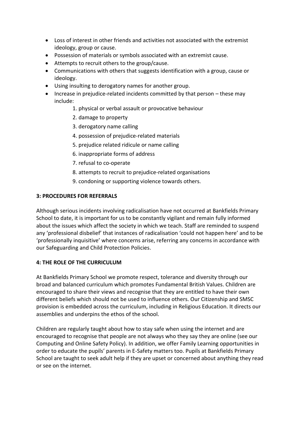- Loss of interest in other friends and activities not associated with the extremist ideology, group or cause.
- Possession of materials or symbols associated with an extremist cause.
- Attempts to recruit others to the group/cause.
- Communications with others that suggests identification with a group, cause or ideology.
- Using insulting to derogatory names for another group.
- Increase in prejudice-related incidents committed by that person these may include:
	- 1. physical or verbal assault or provocative behaviour
	- 2. damage to property
	- 3. derogatory name calling
	- 4. possession of prejudice-related materials
	- 5. prejudice related ridicule or name calling
	- 6. inappropriate forms of address
	- 7. refusal to co-operate
	- 8. attempts to recruit to prejudice-related organisations
	- 9. condoning or supporting violence towards others.

#### **3: PROCEDURES FOR REFERRALS**

Although serious incidents involving radicalisation have not occurred at Bankfields Primary School to date, it is important for us to be constantly vigilant and remain fully informed about the issues which affect the society in which we teach. Staff are reminded to suspend any 'professional disbelief' that instances of radicalisation 'could not happen here' and to be 'professionally inquisitive' where concerns arise, referring any concerns in accordance with our Safeguarding and Child Protection Policies.

## **4: THE ROLE OF THE CURRICULUM**

At Bankfields Primary School we promote respect, tolerance and diversity through our broad and balanced curriculum which promotes Fundamental British Values. Children are encouraged to share their views and recognise that they are entitled to have their own different beliefs which should not be used to influence others. Our Citizenship and SMSC provision is embedded across the curriculum, including in Religious Education. It directs our assemblies and underpins the ethos of the school.

Children are regularly taught about how to stay safe when using the internet and are encouraged to recognise that people are not always who they say they are online (see our Computing and Online Safety Policy). In addition, we offer Family Learning opportunities in order to educate the pupils' parents in E-Safety matters too. Pupils at Bankfields Primary School are taught to seek adult help if they are upset or concerned about anything they read or see on the internet.